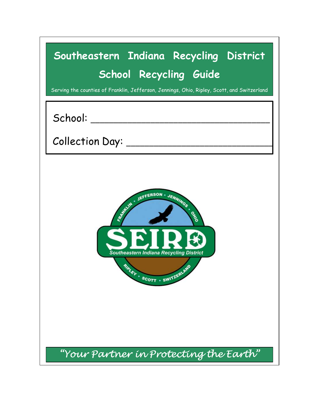| Southeastern Indiana Recycling District<br>School Recycling Guide<br>Serving the counties of Franklin, Jefferson, Jennings, Ohio, Ripley, Scott, and Switzerland |  |
|------------------------------------------------------------------------------------------------------------------------------------------------------------------|--|
|                                                                                                                                                                  |  |
| Collection Day: ___________________                                                                                                                              |  |
| REALLY JEFFERSON - JENNINGS<br>OHNO<br><b>Southeastern Indiana Recycling District</b><br><b>RIALEY - SCOTT - SWITZERLAND</b>                                     |  |
| "Your Partner in Protecting the Earth"                                                                                                                           |  |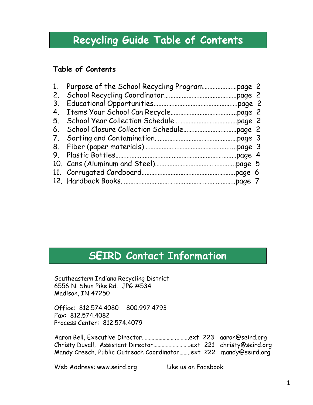## Recycling Guide Table of Contents

### Table of Contents

## SEIRD Contact Information

Southeastern Indiana Recycling District 6556 N. Shun Pike Rd. JPG #534 Madison, IN 47250

Office: 812.574.4080 800.997.4793 Fax: 812.574.4082 Process Center: 812.574.4079

SEIRD Contact Information<br>
Southeastern Indiana Recycling District<br>
AB656 N. Shun Pike Rd. JPG #534<br>
Madison, IN 47250<br>
Office: 812.574.4080 800.997.4793<br>
Fax: 812.574.4082<br>
Process Center: 812.574.4079<br>
Aaron Bell, Execut SEIRD Contact Information<br>Southeastern Indiana Recycling District<br>6556 N. Shun Pike Rd. JPG #534<br>Madison, IN 47250<br>Prices: 812.574.4080 800.997.4793<br>Process Center: 812.574.4079<br>Arons Bell, Executive Director…………………………………… SEIRD Contact Information<br>
Southeastern Indiana Recycling District<br>
6556 N. Shun Pike Rd. JPG #534<br>
Madison, IN 47250<br>
Office: 812.574.4080 800.997.4793<br>
Fax: 812.574.4082<br>
Process Center: 812.574.4079<br>
Aaron Bell, Executi

Web Address: www.seird.org Like us on Facebook!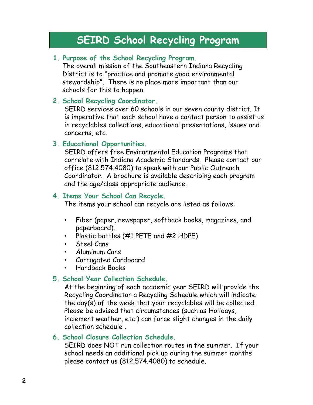## SEIRD School Recycling Program

#### 1. Purpose of the School Recycling Program.

The overall mission of the Southeastern Indiana Recycling District is to "practice and promote good environmental stewardship". There is no place more important than our schools for this to happen.

#### 2. School Recycling Coordinator.

SEIRD services over 60 schools in our seven county district. It is imperative that each school have a contact person to assist us in recyclables collections, educational presentations, issues and concerns, etc.

#### 3. Educational Opportunities.

SEIRD offers free Environmental Education Programs that correlate with Indiana Academic Standards. Please contact our office (812.574.4080) to speak with our Public Outreach Coordinator. A brochure is available describing each program and the age/class appropriate audience.

#### 4. Items Your School Can Recycle.

The items your school can recycle are listed as follows:

- Fiber (paper, newspaper, softback books, magazines, and paperboard).
- Plastic bottles (#1 PETE and #2 HDPE)
- Steel Cans
- Aluminum Cans
- Corrugated Cardboard
- Hardback Books

#### 5. School Year Collection Schedule.

At the beginning of each academic year SEIRD will provide the Recycling Coordinator a Recycling Schedule which will indicate the day(s) of the week that your recyclables will be collected. Please be advised that circumstances (such as Holidays, inclement weather, etc.) can force slight changes in the daily collection schedule .

#### 6. School Closure Collection Schedule.

SEIRD does NOT run collection routes in the summer. If your school needs an additional pick up during the summer months please contact us (812.574.4080) to schedule.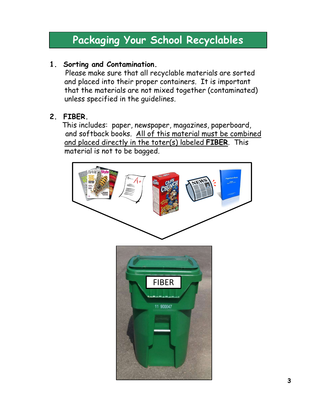### 1. Sorting and Contamination.

Please make sure that all recyclable materials are sorted and placed into their proper containers. It is important that the materials are not mixed together (contaminated) unless specified in the guidelines.

## 2. FIBER.

This includes: paper, newspaper, magazines, paperboard, and softback books. All of this material must be combined and placed directly in the toter(s) labeled FIBER. This material is not to be bagged.

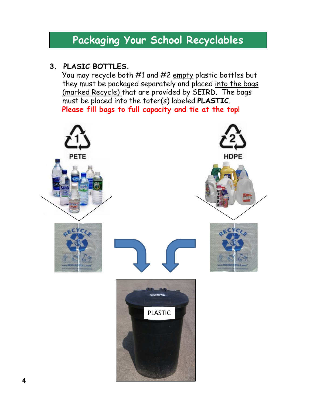### 3. PLASIC BOTTLES.

**Packaging Your School Recyclables**<br>PLASIC BOTTLES.<br>You may recycle both #1 and #2 <u>empty</u> plastic bottles but<br>they must be packaged separately and placed <u>into the bags<br>(marked Recycle)</u> that are provided by SEIRD. The ba they must be packaged separately and placed into the bags (marked Recycle) that are provided by SEIRD. The bags must be placed into the toter(s) labeled PLASTIC. Please fill bags to full capacity and tie at the top!

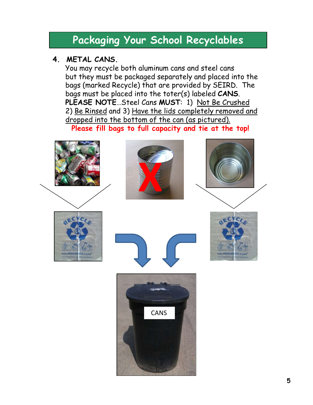### 4. METAL CANS.

You may recycle both aluminum cans and steel cans but they must be packaged separately and placed into the bags (marked Recycle) that are provided by SEIRD. The bags must be placed into the toter(s) labeled CANS.<br>PLEASE NOTE...Steel Cans MUST: 1) Not Be Crushed **Packaging Your School Recyclables**<br>
METAL CANS.<br>
You may recycle both aluminum cans and steel cans<br>
but they must be packaged separately and placed into the<br>
bags (marked Recycle) that are provided by SEIRD. The<br>
bags mus **Packaging Your School Recyclables**<br>
METAL CANS.<br>
You may recycle both aluminum cans and steel cans<br>
but they must be packaged separately and placed into the<br>
bags (marked Recycle) that are provided by SEIRD. The<br>
bags mus dropped into the bottom of the can (as pictured).

Please fill bags to full capacity and tie at the top!

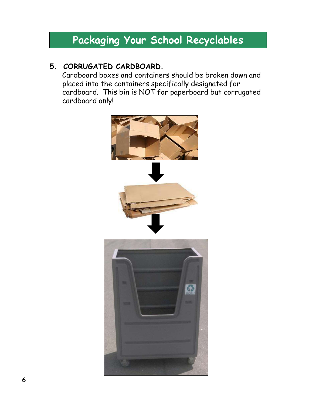### 5. CORRUGATED CARDBOARD.

Cardboard boxes and containers should be broken down and placed into the containers specifically designated for cardboard. This bin is NOT for paperboard but corrugated cardboard only!

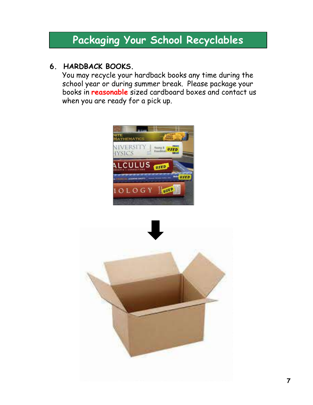### 6. HARDBACK BOOKS.

You may recycle your hardback books any time during the school year or during summer break. Please package your books in reasonable sized cardboard boxes and contact us when you are ready for a pick up.